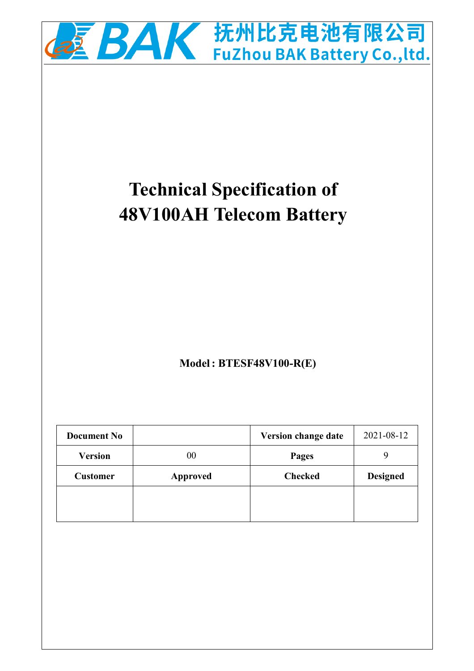

# **Technical Specification of 48V100AH Telecom Battery**

**Model: BTESF48V100-R(E)** 

| <b>Document No</b> |                 | Version change date | 2021-08-12      |
|--------------------|-----------------|---------------------|-----------------|
| <b>Version</b>     | 00              | <b>Pages</b>        |                 |
| <b>Customer</b>    | <b>Approved</b> | <b>Checked</b>      | <b>Designed</b> |
|                    |                 |                     |                 |
|                    |                 |                     |                 |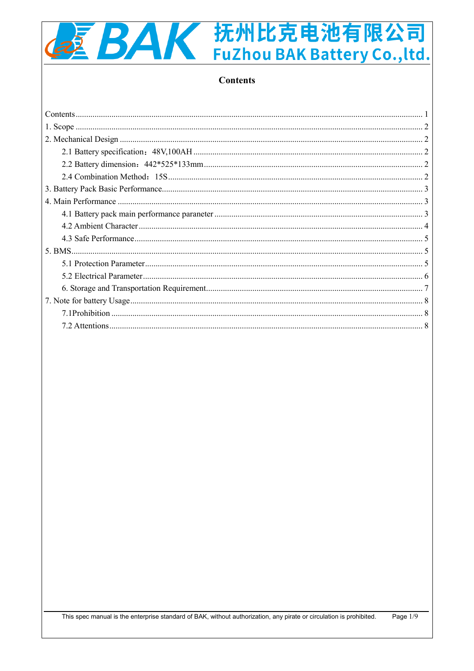# 2 BAK 抚州比克电池有限公司 FuZhou BAK Battery Co., ltd.

#### **Contents**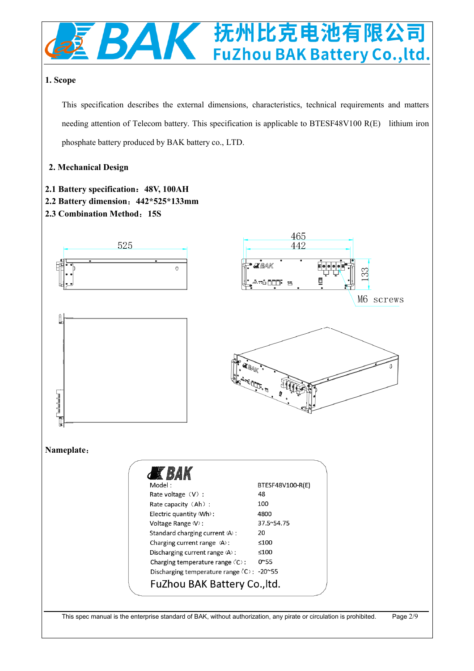

#### **1. Scope**

This specification describes the external dimensions, characteristics, technical requirements and matters needing attention of Telecom battery. This specification is applicable to BTESF48V100 R(E) lithium iron phosphate battery produced by BAK battery co., LTD.

#### **2. Mechanical Design**

- **2.1 Battery specification**:**48V, 100AH**
- **2.2 Battery dimension**:**442\*525\*133mm**
- **2.3 Combination Method**:**15S**

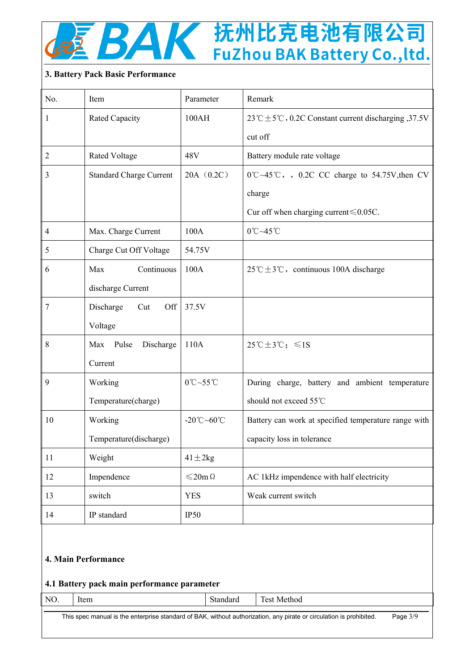

## 抚州比克电池有限公司 FuZhou BAK Battery Co., ltd.

#### **3. Battery Pack Basic Performance**

| Item                           | Parameter                | Remark                                                                    |
|--------------------------------|--------------------------|---------------------------------------------------------------------------|
| Rated Capacity                 | 100AH                    | 23 °C $\pm$ 5 °C, 0.2C Constant current discharging ,37.5V                |
|                                |                          | cut off                                                                   |
| <b>Rated Voltage</b>           | 48V                      | Battery module rate voltage                                               |
| <b>Standard Charge Current</b> | 20A(0.2C)                | $0^{\circ}$ C $\sim$ 45 $^{\circ}$ C, , 0.2C CC charge to 54.75V, then CV |
|                                |                          | charge                                                                    |
|                                |                          | Cur off when charging current $\leq 0.05C$ .                              |
| Max. Charge Current            | 100A                     | $0^{\circ}$ C~45 $^{\circ}$ C                                             |
| Charge Cut Off Voltage         | 54.75V                   |                                                                           |
| Continuous<br>Max              | 100A                     | $25^{\circ}$ C ± 3°C, continuous 100A discharge                           |
| discharge Current              |                          |                                                                           |
| Discharge<br>Cut<br>Off        | 37.5V                    |                                                                           |
| Voltage                        |                          |                                                                           |
| Max Pulse<br>Discharge         | 110A                     | $25^{\circ}\text{C} \pm 3^{\circ}\text{C}$ ; $\leq 1\text{S}$             |
| Current                        |                          |                                                                           |
| Working                        | 0°C~55°C                 | During charge, battery and ambient temperature                            |
| Temperature(charge)            |                          | should not exceed 55°C                                                    |
| Working                        | -20°C~60°C               | Battery can work at specified temperature range with                      |
| Temperature(discharge)         |                          | capacity loss in tolerance                                                |
| Weight                         | $41 \pm 2kg$             |                                                                           |
| Impendence                     | $\leqslant$ 20m $\Omega$ | AC 1kHz impendence with half electricity                                  |
| switch                         | <b>YES</b>               | Weak current switch                                                       |
| IP standard                    | IP50                     |                                                                           |
|                                |                          |                                                                           |

#### **4. Main Performance**

#### **4.1 Battery pack main performance parameter**

| NО | Ite |
|----|-----|
|    |     |

no. Item Standard Test Method

This spec manual is the enterprise standard of BAK, without authorization, any pirate or circulation is prohibited. Page 3/9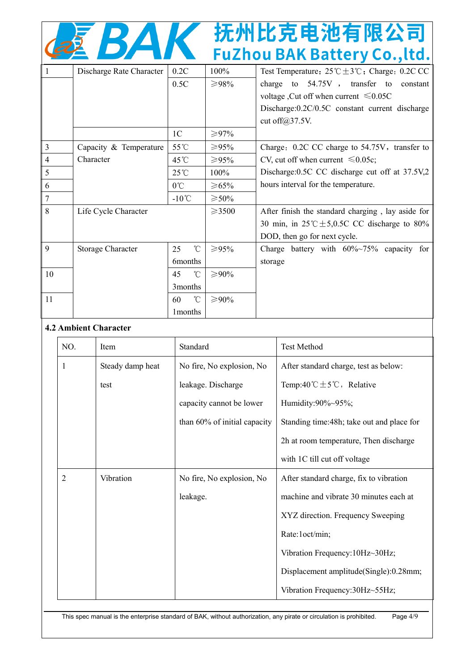|                | BA                       |                |              | 抚州比克电池有限公司<br><b>FuZhou BAK Battery Co., ltd.</b>                                                                                                                                                                                                     |
|----------------|--------------------------|----------------|--------------|-------------------------------------------------------------------------------------------------------------------------------------------------------------------------------------------------------------------------------------------------------|
|                | Discharge Rate Character | 0.2C<br>0.5C   | 100%<br>≥98% | Test Temperature: $25^{\circ}\text{C} \pm 3^{\circ}\text{C}$ ; Charge: 0.2C CC<br>charge to $54.75V$ , transfer to<br>constant<br>voltage, Cut off when current $\leq 0.05C$<br>Discharge: 0.2C/0.5C constant current discharge<br>cut off $@37.5V$ . |
|                |                          | 1 <sup>C</sup> | ≥97%         |                                                                                                                                                                                                                                                       |
| $\overline{3}$ | Capacity & Temperature   | 55°C           | ≥95%         | Charge: 0.2C CC charge to 54.75V, transfer to                                                                                                                                                                                                         |
|                | Character                | 45°C           | ≥95%         | CV, cut off when current $\leq 0.05c$ ;                                                                                                                                                                                                               |

| 5             |                      | $25^{\circ}$ C     | 100%        | Discharge: 0.5C CC discharge cut off at 37.5V,2            |
|---------------|----------------------|--------------------|-------------|------------------------------------------------------------|
| -6            |                      | $0^{\circ}$ C      | ≥65%        | hours interval for the temperature.                        |
|               |                      | $-10^{\circ}$ C    | $\geq 50\%$ |                                                            |
| 8             | Life Cycle Character |                    | $\geq 3500$ | After finish the standard charging, lay aside for          |
|               |                      |                    |             | 30 min, in $25^{\circ}$ C $\pm$ 5,0.5C CC discharge to 80% |
|               |                      |                    |             | DOD, then go for next cycle.                               |
| $\mathbf{Q}$  | Storage Character    | $^{\circ}$ C<br>25 | ≥95%        | Charge battery with $60\%~75\%$ capacity for               |
|               |                      | <b>6</b> months    |             | storage                                                    |
| 10            |                      | $^{\circ}$ C<br>45 | ≥90%        |                                                            |
|               |                      | 3 months           |             |                                                            |
| <sup>11</sup> |                      | $^{\circ}$ C<br>60 | ≥90%        |                                                            |
|               |                      | 1 months           |             |                                                            |

#### **4.2 Ambient Character**

| NO.            | Item             | Standard                     | Test Method                                |
|----------------|------------------|------------------------------|--------------------------------------------|
| 1              | Steady damp heat | No fire, No explosion, No    | After standard charge, test as below:      |
|                | test             | leakage. Discharge           | Temp:40 °C $\pm$ 5 °C, Relative            |
|                |                  | capacity cannot be lower     | Humidity:90%~95%;                          |
|                |                  | than 60% of initial capacity | Standing time: 48h; take out and place for |
|                |                  |                              | 2h at room temperature, Then discharge     |
|                |                  |                              | with 1C till cut off voltage               |
| $\overline{2}$ | Vibration        | No fire, No explosion, No    | After standard charge, fix to vibration    |
|                |                  | leakage.                     | machine and vibrate 30 minutes each at     |
|                |                  |                              | XYZ direction. Frequency Sweeping          |
|                |                  |                              | Rate:1oct/min;                             |
|                |                  |                              | Vibration Frequency: 10Hz~30Hz;            |
|                |                  |                              | Displacement amplitude(Single):0.28mm;     |
|                |                  |                              | Vibration Frequency:30Hz~55Hz;             |

This spec manual is the enterprise standard of BAK, without authorization, any pirate or circulation is prohibited. Page 4/9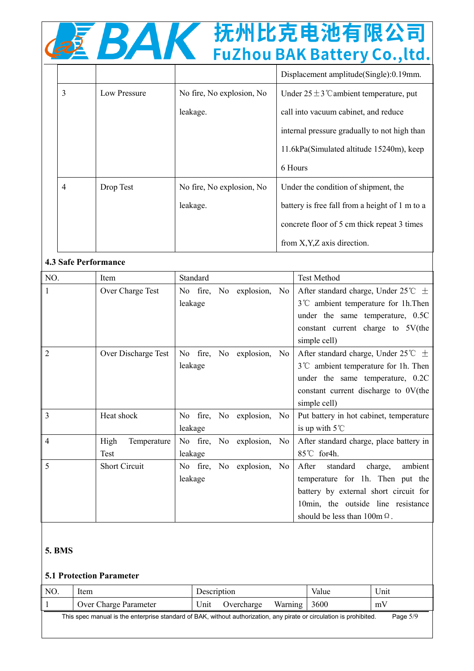|   | KA           |                           | 抚州比克电池有限公司<br><b>FuZhou BAK Battery Co., ltd.</b>   |
|---|--------------|---------------------------|-----------------------------------------------------|
|   |              |                           | Displacement amplitude (Single): 0.19mm.            |
| 3 | Low Pressure | No fire, No explosion, No | Under $25 \pm 3$ $\degree$ ambient temperature, put |
|   |              | leakage.                  | call into vacuum cabinet, and reduce                |
|   |              |                           | internal pressure gradually to not high than        |
|   |              |                           | 11.6kPa(Simulated altitude 15240m), keep            |
|   |              |                           | 6 Hours                                             |
| 4 | Drop Test    | No fire, No explosion, No | Under the condition of shipment, the                |
|   |              | leakage.                  | battery is free fall from a height of 1 m to a      |
|   |              |                           | concrete floor of 5 cm thick repeat 3 times         |

from X,Y,Z axis direction.

#### **4.3 Safe Performance**

| NO.            | Item                 | Standard                  | <b>Test Method</b>                                    |
|----------------|----------------------|---------------------------|-------------------------------------------------------|
| $\mathbf{1}$   | Over Charge Test     | No fire, No explosion, No | After standard charge, Under $25^{\circ}\text{C} \pm$ |
|                |                      | leakage                   | 3°C ambient temperature for 1h. Then                  |
|                |                      |                           | under the same temperature, 0.5C                      |
|                |                      |                           | constant current charge to 5V(the                     |
|                |                      |                           | simple cell)                                          |
| $\overline{2}$ | Over Discharge Test  | No fire, No explosion, No | After standard charge, Under $25^{\circ}C \pm$        |
|                |                      | leakage                   | $3^{\circ}$ ambient temperature for 1h. Then          |
|                |                      |                           | under the same temperature, 0.2C                      |
|                |                      |                           | constant current discharge to 0V(the                  |
|                |                      |                           | simple cell)                                          |
| 3              | Heat shock           | No fire, No explosion, No | Put battery in hot cabinet, temperature               |
|                |                      | leakage                   | is up with $5^{\circ}$ C                              |
| $\overline{4}$ | High<br>Temperature  | No fire, No explosion, No | After standard charge, place battery in               |
|                | Test                 | leakage                   | 85℃ for4h.                                            |
| 5              | <b>Short Circuit</b> | No fire, No explosion, No | After<br>standard<br>ambient<br>charge,               |
|                |                      | leakage                   | temperature for 1h. Then put the                      |
|                |                      |                           | battery by external short circuit for                 |
|                |                      |                           | 10min, the outside line resistance                    |
|                |                      |                           | should be less than $100m \Omega$ .                   |

#### **5. BMS**

#### **5.1 Protection Parameter**

| NO. | Item                  | Description |            |         | Value | <b>TT</b><br>Unit |
|-----|-----------------------|-------------|------------|---------|-------|-------------------|
|     | Over Charge Parameter | Unit        | Jvercharge | Warning | 3600  | $m\lambda$        |

This spec manual is the enterprise standard of BAK, without authorization, any pirate or circulation is prohibited. Page 5/9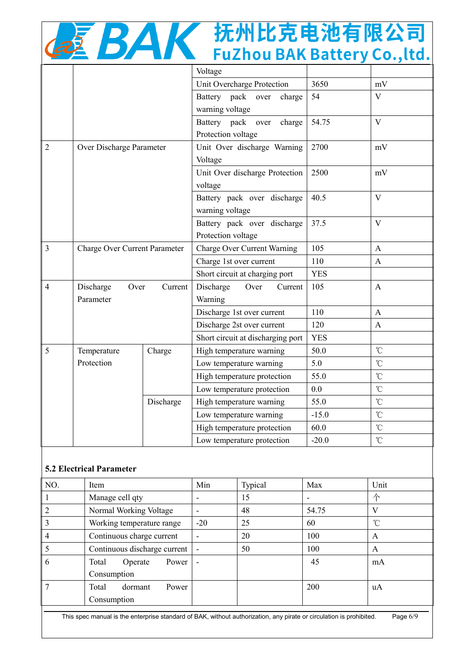|  |  | 抚州比克电池有限公司<br><b>FuZhou BAK Battery Co., ltd.</b> |  |
|--|--|---------------------------------------------------|--|
|  |  |                                                   |  |

|                |                                      |           | Unit Overcharge Protection         | 3650       | mV                      |
|----------------|--------------------------------------|-----------|------------------------------------|------------|-------------------------|
|                |                                      |           | Battery pack<br>over<br>charge     | 54         | V                       |
|                |                                      |           | warning voltage                    |            |                         |
|                |                                      |           | Battery pack over<br>charge        | 54.75      | $\mathbf{V}$            |
|                |                                      |           | Protection voltage                 |            |                         |
| $\overline{2}$ | Over Discharge Parameter             |           | Unit Over discharge Warning        | 2700       | mV                      |
|                |                                      |           | Voltage                            |            |                         |
|                |                                      |           | Unit Over discharge Protection     | 2500       | mV                      |
|                |                                      |           | voltage                            |            |                         |
|                |                                      |           | Battery pack over discharge        | 40.5       | $\overline{\mathbf{V}}$ |
|                |                                      |           | warning voltage                    |            |                         |
|                |                                      |           | Battery pack over discharge        | 37.5       | V                       |
|                |                                      |           | Protection voltage                 |            |                         |
| $\overline{3}$ | <b>Charge Over Current Parameter</b> |           | <b>Charge Over Current Warning</b> | 105        | $\mathbf{A}$            |
|                |                                      |           | Charge 1st over current            | 110        | $\mathbf{A}$            |
|                |                                      |           | Short circuit at charging port     | <b>YES</b> |                         |
| 4              | Discharge<br>Over                    | Current   | Discharge<br>Over<br>Current       | 105        | $\mathbf{A}$            |
|                | Parameter                            |           | Warning                            |            |                         |
|                |                                      |           | Discharge 1st over current         | 110        | $\mathbf{A}$            |
|                |                                      |           | Discharge 2st over current         | 120        | A                       |
|                |                                      |           | Short circuit at discharging port  | <b>YES</b> |                         |
| 5              | Temperature                          | Charge    | High temperature warning           | 50.0       | $\mathcal{C}$           |
|                | Protection                           |           | Low temperature warning            | 5.0        | $\mathcal{C}$           |
|                |                                      |           | High temperature protection        | 55.0       | $\rm ^{\circ}C$         |
|                |                                      |           | Low temperature protection         | 0.0        | $\rm ^{\circ}C$         |
|                |                                      | Discharge | High temperature warning           | 55.0       | $\rm ^{\circ}C$         |
|                |                                      |           | Low temperature warning            | $-15.0$    | $\rm ^{\circ}\!C$       |
|                |                                      |           | High temperature protection        | 60.0       | $\rm ^{\circ}C$         |
|                |                                      |           | Low temperature protection         | $-20.0$    | $\rm ^{\circ}\!C$       |
|                |                                      |           |                                    |            |                         |

#### **5.2 Electrical Parameter**

| NO.            | Item                         | Min   | Typical | Max   | Unit         |
|----------------|------------------------------|-------|---------|-------|--------------|
|                | Manage cell qty              |       | 15      |       | 不            |
| $\overline{2}$ | Normal Working Voltage       |       | 48      | 54.75 | V            |
| $\overline{3}$ | Working temperature range    | $-20$ | 25      | 60    | $^{\circ}$ C |
| $\overline{4}$ | Continuous charge current    |       | 20      | 100   | A            |
| 5              | Continuous discharge current |       | 50      | 100   | A            |
| 6              | Power<br>Total<br>Operate    |       |         | 45    | mA           |
|                | Consumption                  |       |         |       |              |
| 7              | Total<br>Power<br>dormant    |       |         | 200   | uA           |
|                | Consumption                  |       |         |       |              |

This spec manual is the enterprise standard of BAK, without authorization, any pirate or circulation is prohibited. Page 6/9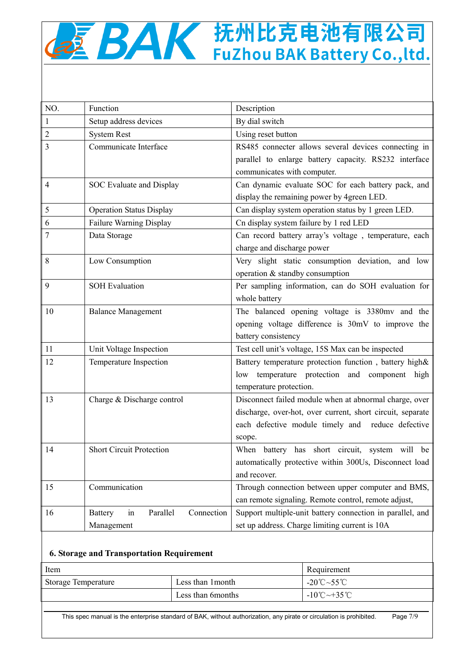# **QMAK 抚州比克电池有限公司**

| NO.            | Function                                       | Description                                                |  |  |
|----------------|------------------------------------------------|------------------------------------------------------------|--|--|
| $\mathbf{1}$   | Setup address devices                          | By dial switch                                             |  |  |
| $\overline{2}$ | <b>System Rest</b>                             | Using reset button                                         |  |  |
| 3              | Communicate Interface                          | RS485 connecter allows several devices connecting in       |  |  |
|                |                                                | parallel to enlarge battery capacity. RS232 interface      |  |  |
|                |                                                | communicates with computer.                                |  |  |
| $\overline{4}$ | SOC Evaluate and Display                       | Can dynamic evaluate SOC for each battery pack, and        |  |  |
|                |                                                | display the remaining power by 4green LED.                 |  |  |
| 5              | <b>Operation Status Display</b>                | Can display system operation status by 1 green LED.        |  |  |
| 6              | Failure Warning Display                        | Cn display system failure by 1 red LED                     |  |  |
| 7              | Data Storage                                   | Can record battery array's voltage, temperature, each      |  |  |
|                |                                                | charge and discharge power                                 |  |  |
| 8              | Low Consumption                                | Very slight static consumption deviation, and low          |  |  |
|                |                                                | operation & standby consumption                            |  |  |
| 9              | <b>SOH Evaluation</b>                          | Per sampling information, can do SOH evaluation for        |  |  |
|                |                                                | whole battery                                              |  |  |
| 10             | <b>Balance Management</b>                      | The balanced opening voltage is 3380mv and the             |  |  |
|                |                                                | opening voltage difference is 30mV to improve the          |  |  |
|                |                                                | battery consistency                                        |  |  |
| 11             | Unit Voltage Inspection                        | Test cell unit's voltage, 15S Max can be inspected         |  |  |
| 12             | Temperature Inspection                         | Battery temperature protection function, battery high&     |  |  |
|                |                                                | low temperature protection and component high              |  |  |
|                |                                                | temperature protection.                                    |  |  |
| 13             | Charge & Discharge control                     | Disconnect failed module when at abnormal charge, over     |  |  |
|                |                                                | discharge, over-hot, over current, short circuit, separate |  |  |
|                |                                                | each defective module timely and reduce defective          |  |  |
|                |                                                | scope.                                                     |  |  |
| 14             | <b>Short Circuit Protection</b>                | When battery has short circuit, system will be             |  |  |
|                |                                                | automatically protective within 300Us, Disconnect load     |  |  |
|                |                                                | and recover.                                               |  |  |
| 15             | Communication                                  | Through connection between upper computer and BMS,         |  |  |
|                |                                                | can remote signaling. Remote control, remote adjust,       |  |  |
| 16             | Parallel<br>Connection<br><b>Battery</b><br>in | Support multiple-unit battery connection in parallel, and  |  |  |
|                | Management                                     | set up address. Charge limiting current is 10A             |  |  |

#### **6. Storage and Transportation Requirement**

| Item                | Requirement        |                                                     |  |
|---------------------|--------------------|-----------------------------------------------------|--|
| Storage Temperature | Less than 1 month  | -20°C~55°C                                          |  |
|                     | Less than 6 months | $-10^{\circ}\text{C}\rightarrow 35^{\circ}\text{C}$ |  |

This spec manual is the enterprise standard of BAK, without authorization, any pirate or circulation is prohibited. Page 7/9